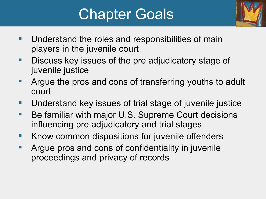## Chapter Goals



- **Understand the roles and responsibilities of main** players in the juvenile court
- **-** Discuss key issues of the pre adjudicatory stage of juvenile justice
- **Argue the pros and cons of transferring youths to adult** court
- **Understand key issues of trial stage of juvenile justice**
- Be familiar with major U.S. Supreme Court decisions influencing pre adjudicatory and trial stages
- **Khow common dispositions for juvenile offenders**
- **Argue pros and cons of confidentiality in juvenile** proceedings and privacy of records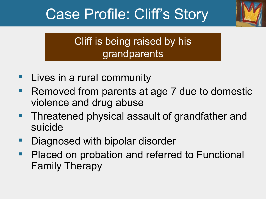## Case Profile: Cliff's Story



#### Cliff is being raised by his grandparents

- **Lives in a rural community**
- Removed from parents at age 7 due to domestic violence and drug abuse
- **Threatened physical assault of grandfather and** suicide
- Diagnosed with bipolar disorder
- **Placed on probation and referred to Functional** Family Therapy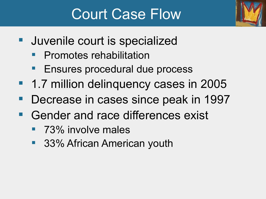### Court Case Flow



- **Juvenile court is specialized** 
	- **Promotes rehabilitation**
	- **Ensures procedural due process**
- 1.7 million delinquency cases in 2005
- **Decrease in cases since peak in 1997**
- Gender and race differences exist
	- **73% involve males**
	- 33% African American youth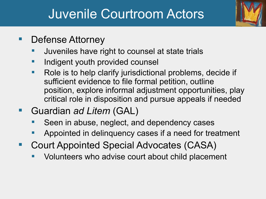#### Juvenile Courtroom Actors



- Defense Attorney
	- Juveniles have right to counsel at state trials
	- Indigent youth provided counsel
	- Role is to help clarify jurisdictional problems, decide if sufficient evidence to file formal petition, outline position, explore informal adjustment opportunities, play critical role in disposition and pursue appeals if needed
- Guardian *ad Litem* (GAL)
	- Seen in abuse, neglect, and dependency cases
	- Appointed in delinquency cases if a need for treatment
- Court Appointed Special Advocates (CASA)
	- Volunteers who advise court about child placement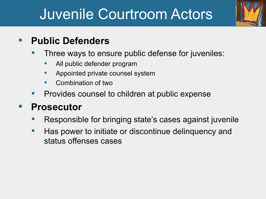## Juvenile Courtroom Actors



#### **Public Defenders**

- Three ways to ensure public defense for juveniles:
	- All public defender program
	- Appointed private counsel system
	- Combination of two
- Provides counsel to children at public expense

#### **Prosecutor**

- Responsible for bringing state's cases against juvenile
- Has power to initiate or discontinue delinquency and status offenses cases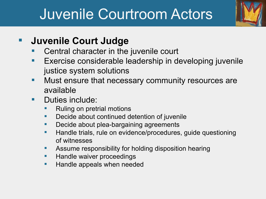## Juvenile Courtroom Actors



#### **Juvenile Court Judge**

- Central character in the juvenile court
- Exercise considerable leadership in developing juvenile justice system solutions
- **Nust ensure that necessary community resources are** available
- Duties include:
	- Ruling on pretrial motions
	- Decide about continued detention of juvenile
	- **Decide about plea-bargaining agreements**
	- **Handle trials, rule on evidence/procedures, guide questioning** of witnesses
	- **Assume responsibility for holding disposition hearing**
	- **Handle waiver proceedings**
	- **Handle appeals when needed**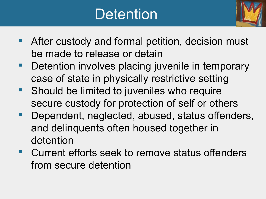## **Detention**



- **After custody and formal petition, decision must** be made to release or detain
- **Detention involves placing juvenile in temporary** case of state in physically restrictive setting
- **Should be limited to juveniles who require** secure custody for protection of self or others
- **Dependent, neglected, abused, status offenders,** and delinquents often housed together in detention
- Current efforts seek to remove status offenders from secure detention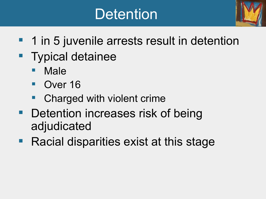## **Detention**



- **1** 1 in 5 juvenile arrests result in detention
- **Typical detainee** 
	- Male
	- Over 16
	- Charged with violent crime
- **Detention increases risk of being** adjudicated
- **Racial disparities exist at this stage**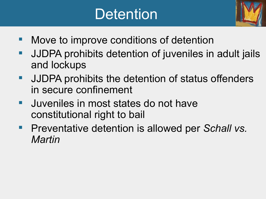## **Detention**



- Move to improve conditions of detention
- **JJDPA prohibits detention of juveniles in adult jails** and lockups
- **JJDPA prohibits the detention of status offenders** in secure confinement
- **Juveniles in most states do not have** constitutional right to bail
- **Preventative detention is allowed per Schall vs.** *Martin*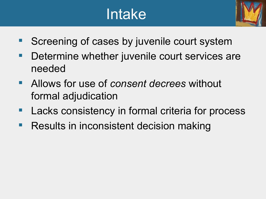## Intake



- Screening of cases by juvenile court system
- **Determine whether juvenile court services are** needed
- Allows for use of *consent decrees* without formal adjudication
- **Lacks consistency in formal criteria for process**
- **Results in inconsistent decision making**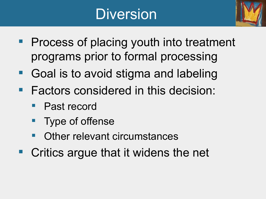## Diversion



- **Process of placing youth into treatment** programs prior to formal processing
- Goal is to avoid stigma and labeling
- **Factors considered in this decision:** 
	- Past record
	- Type of offense
	- Other relevant circumstances
- Critics argue that it widens the net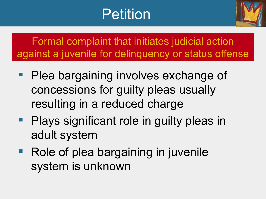## Petition



Formal complaint that initiates judicial action against a juvenile for delinquency or status offense

- Plea bargaining involves exchange of concessions for guilty pleas usually resulting in a reduced charge
- **Plays significant role in guilty pleas in** adult system
- **Role of plea bargaining in juvenile** system is unknown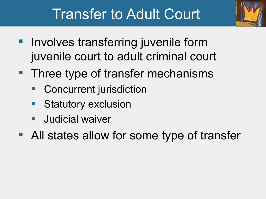

### Transfer to Adult Court

- Involves transferring juvenile form juvenile court to adult criminal court
- **Three type of transfer mechanisms** 
	- Concurrent jurisdiction
	- **Statutory exclusion**
	- Judicial waiver
- All states allow for some type of transfer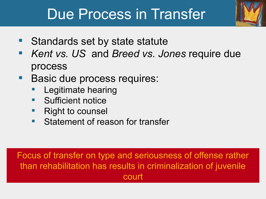#### Due Process in Transfer

- Standards set by state statute
- *Kent vs. US* and *Breed vs. Jones* require due process
- **Basic due process requires:** 
	- Legitimate hearing
	- Sufficient notice
	- Right to counsel
	- Statement of reason for transfer

Focus of transfer on type and seriousness of offense rather than rehabilitation has results in criminalization of juvenile court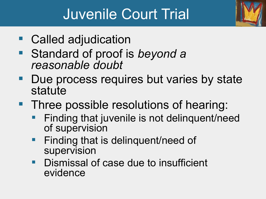## Juvenile Court Trial

- Called adjudication
- Standard of proof is *beyond a reasonable doubt*
- **Due process requires but varies by state** statute
- **Three possible resolutions of hearing:** 
	- Finding that juvenile is not delinquent/need of supervision
	- **Finding that is delinquent/need of** supervision
	- **Dismissal of case due to insufficient** evidence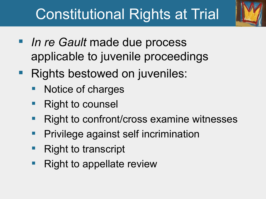## Constitutional Rights at Trial



- **If** *In re Gault* made due process applicable to juvenile proceedings
- **Rights bestowed on juveniles:** 
	- Notice of charges
	- Right to counsel
	- Right to confront/cross examine witnesses
	- Privilege against self incrimination
	- Right to transcript
	- Right to appellate review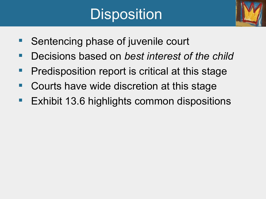# **Disposition**



- Sentencing phase of juvenile court
- Decisions based on *best interest of the child*
- **Predisposition report is critical at this stage**
- Courts have wide discretion at this stage
- **Exhibit 13.6 highlights common dispositions**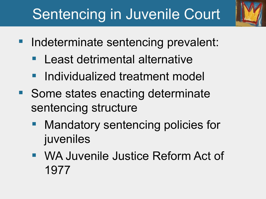## Sentencing in Juvenile Court

- Indeterminate sentencing prevalent:
	- **Least detrimental alternative**
	- **Individualized treatment model**
- Some states enacting determinate sentencing structure
	- Mandatory sentencing policies for juveniles
	- WA Juvenile Justice Reform Act of 1977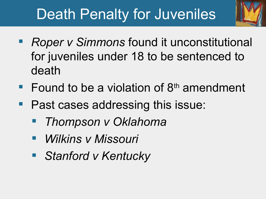## Death Penalty for Juveniles



- Found to be a violation of  $8<sup>th</sup>$  amendment
- Past cases addressing this issue:
	- *Thompson v Oklahoma*
	- *Wilkins v Missouri*
	- *Stanford v Kentucky*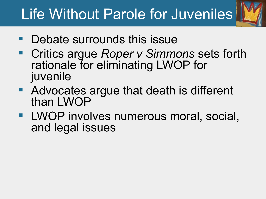## Life Without Parole for Juveniles

- Debate surrounds this issue
- Critics argue *Roper v Simmons* sets forth rationale for eliminating LWOP for juvenile
- **Advocates argue that death is different** than LWOP
- **LWOP involves numerous moral, social,** and legal issues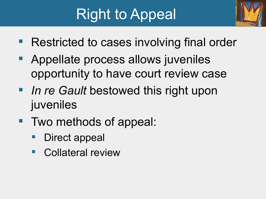## Right to Appeal



- Restricted to cases involving final order
- **Appellate process allows juveniles** opportunity to have court review case
- **I** In re Gault bestowed this right upon juveniles
- Two methods of appeal:
	- Direct appeal
	- Collateral review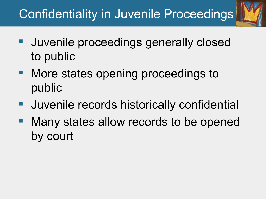#### Confidentiality in Juvenile Proceedings

- Juvenile proceedings generally closed to public
- More states opening proceedings to public
- **Uuvenile records historically confidential**
- Many states allow records to be opened by court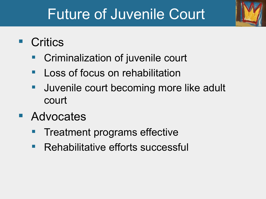## Future of Juvenile Court

- **Critics** 
	- Criminalization of juvenile court
	- Loss of focus on rehabilitation
	- Juvenile court becoming more like adult court
- **Advocates** 
	- Treatment programs effective
	- Rehabilitative efforts successful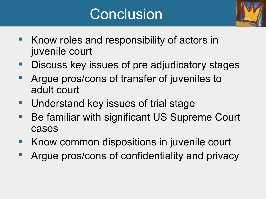## **Conclusion**



- Know roles and responsibility of actors in juvenile court
- **Discuss key issues of pre adjudicatory stages**
- Argue pros/cons of transfer of juveniles to adult court
- Understand key issues of trial stage
- Be familiar with significant US Supreme Court cases
- Know common dispositions in juvenile court
- Argue pros/cons of confidentiality and privacy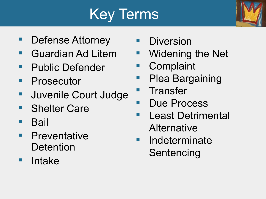# Key Terms



- Defense Attorney
- **Guardian Ad Litem**
- **Public Defender**
- **Prosecutor**
- **Juvenile Court Judge**
- **Shelter Care**
- **Bail**
- **Preventative Detention**
- **Intake**
- Diversion
- Widening the Net
- **Complaint**
- Plea Bargaining
- **Transfer**
- **Due Process**
- **Least Detrimental Alternative**
- **Indeterminate** Sentencing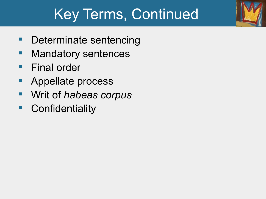## Key Terms, Continued

- Determinate sentencing
- **Mandatory sentences**
- **Final order**
- Appellate process
- Writ of *habeas corpus*
- **Confidentiality**